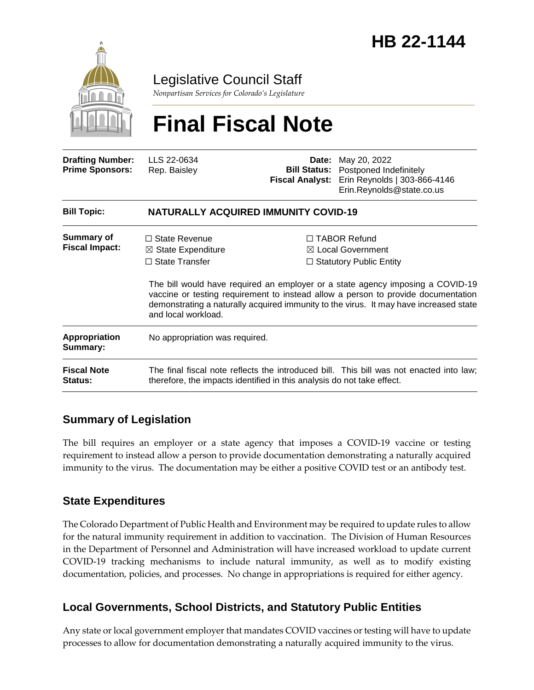

Legislative Council Staff

*Nonpartisan Services for Colorado's Legislature*

# **Final Fiscal Note**

| <b>Drafting Number:</b><br><b>Prime Sponsors:</b> | LLS 22-0634<br>Rep. Baisley                                                                                                                                       | Date:<br><b>Fiscal Analyst:</b> | May 20, 2022<br><b>Bill Status:</b> Postponed Indefinitely<br>Erin Reynolds   303-866-4146<br>Erin.Reynolds@state.co.us                                                                                                                                                                                                                               |  |
|---------------------------------------------------|-------------------------------------------------------------------------------------------------------------------------------------------------------------------|---------------------------------|-------------------------------------------------------------------------------------------------------------------------------------------------------------------------------------------------------------------------------------------------------------------------------------------------------------------------------------------------------|--|
| <b>Bill Topic:</b>                                | <b>NATURALLY ACQUIRED IMMUNITY COVID-19</b>                                                                                                                       |                                 |                                                                                                                                                                                                                                                                                                                                                       |  |
| <b>Summary of</b><br><b>Fiscal Impact:</b>        | $\Box$ State Revenue<br>$\boxtimes$ State Expenditure<br>$\Box$ State Transfer<br>and local workload.                                                             |                                 | $\Box$ TABOR Refund<br>$\boxtimes$ Local Government<br>$\Box$ Statutory Public Entity<br>The bill would have required an employer or a state agency imposing a COVID-19<br>vaccine or testing requirement to instead allow a person to provide documentation<br>demonstrating a naturally acquired immunity to the virus. It may have increased state |  |
| <b>Appropriation</b><br>Summary:                  | No appropriation was required.                                                                                                                                    |                                 |                                                                                                                                                                                                                                                                                                                                                       |  |
| <b>Fiscal Note</b><br><b>Status:</b>              | The final fiscal note reflects the introduced bill. This bill was not enacted into law;<br>therefore, the impacts identified in this analysis do not take effect. |                                 |                                                                                                                                                                                                                                                                                                                                                       |  |

## **Summary of Legislation**

The bill requires an employer or a state agency that imposes a COVID-19 vaccine or testing requirement to instead allow a person to provide documentation demonstrating a naturally acquired immunity to the virus. The documentation may be either a positive COVID test or an antibody test.

## **State Expenditures**

The Colorado Department of Public Health and Environment may be required to update rules to allow for the natural immunity requirement in addition to vaccination. The Division of Human Resources in the Department of Personnel and Administration will have increased workload to update current COVID-19 tracking mechanisms to include natural immunity, as well as to modify existing documentation, policies, and processes. No change in appropriations is required for either agency.

## **Local Governments, School Districts, and Statutory Public Entities**

Any state or local government employer that mandates COVID vaccines or testing will have to update processes to allow for documentation demonstrating a naturally acquired immunity to the virus.